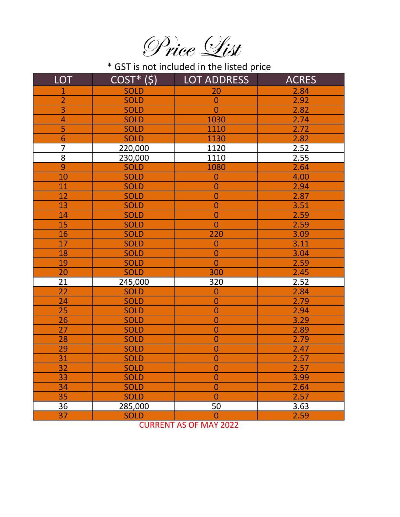Price List

\* GST is not included in the listed price

| <b>LOT</b>     | $COST*(\xi)$ | <b>LOT ADDRESS</b> | <b>ACRES</b> |
|----------------|--------------|--------------------|--------------|
| $\mathbf 1$    | <b>SOLD</b>  | 20                 | 2.84         |
| $\overline{2}$ | <b>SOLD</b>  | $\mathbf 0$        | 2.92         |
| 3              | <b>SOLD</b>  | $\overline{0}$     | 2.82         |
| 4              | <b>SOLD</b>  | 1030               | 2.74         |
| 5              | <b>SOLD</b>  | 1110               | 2.72         |
| 6              | <b>SOLD</b>  | 1130               | 2.82         |
| $\overline{7}$ | 220,000      | 1120               | 2.52         |
| 8              | 230,000      | 1110               | 2.55         |
| 9              | <b>SOLD</b>  | 1080               | 2.64         |
| 10             | <b>SOLD</b>  | $\mathbf{0}$       | 4.00         |
| 11             | <b>SOLD</b>  | $\overline{0}$     | 2.94         |
| 12             | <b>SOLD</b>  | $\overline{0}$     | 2.87         |
| 13             | <b>SOLD</b>  | $\overline{0}$     | 3.51         |
| 14             | <b>SOLD</b>  | $\mathbf 0$        | 2.59         |
| 15             | <b>SOLD</b>  | $\overline{0}$     | 2.59         |
| 16             | <b>SOLD</b>  | 220                | 3.09         |
| 17             | <b>SOLD</b>  | $\overline{0}$     | 3.11         |
| 18             | <b>SOLD</b>  | $\mathbf{0}$       | 3.04         |
| 19             | <b>SOLD</b>  | $\overline{0}$     | 2.59         |
| 20             | <b>SOLD</b>  | 300                | 2.45         |
| 21             | 245,000      | 320                | 2.52         |
| 22             | <b>SOLD</b>  | $\overline{0}$     | 2.84         |
| 24             | <b>SOLD</b>  | $\mathbf{0}$       | 2.79         |
| 25             | <b>SOLD</b>  | $\overline{0}$     | 2.94         |
| 26             | <b>SOLD</b>  | $\mathbf{0}$       | 3.29         |
| 27             | <b>SOLD</b>  | $\overline{0}$     | 2.89         |
| 28             | <b>SOLD</b>  | $\mathbf 0$        | 2.79         |
| 29             | <b>SOLD</b>  | $\overline{0}$     | 2.47         |
| 31             | <b>SOLD</b>  | $\overline{0}$     | 2.57         |
| 32             | <b>SOLD</b>  | 0                  | 2.57         |
| 33             | <b>SOLD</b>  | $\overline{0}$     | 3.99         |
| 34             | <b>SOLD</b>  | $\mathbf 0$        | 2.64         |
| 35             | <b>SOLD</b>  | $\overline{0}$     | 2.57         |
| 36             | 285,000      | 50                 | 3.63         |
| 37             | <b>SOLD</b>  | $\mathbf 0$        | 2.59         |

CURRENT AS OF MAY 2022